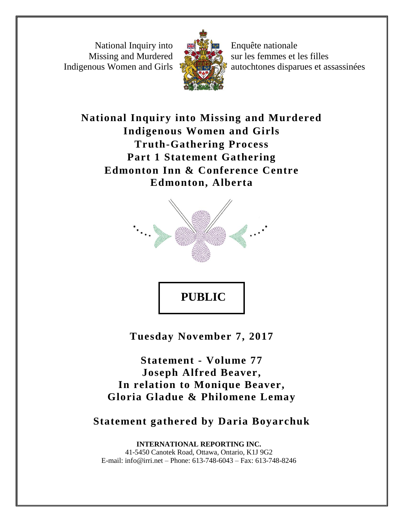National Inquiry into Missing and Murdered Indigenous Women and Girls



Enquête nationale sur les femmes et les filles autochtones disparues et assassinées

**National Inquiry into Missing and Murdered Indigenous Women and Girls Truth-Gathering Process Part 1 Statement Gathering Edmonton Inn & Conference Centre Edmonton, Alberta**



**Tuesday November 7, 2017**

**Statement - Volume 77 Joseph Alfred Beaver, In relation to Monique Beaver, Gloria Gladue & Philomene Lemay**

**Statement gathered by Daria Boyarchuk**

**INTERNATIONAL REPORTING INC.** 41-5450 Canotek Road, Ottawa, Ontario, K1J 9G2 E-mail: info@irri.net – Phone: 613-748-6043 – Fax: 613-748-8246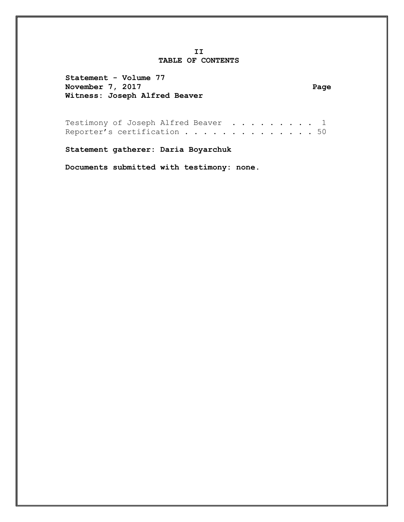#### **II TABLE OF CONTENTS**

**Statement - Volume 77** November 7, 2017 and the set of the set of the set of the set of the set of the set of the set of the set of the set of the set of the set of the set of the set of the set of the set of the set of the set of the set of the **Witness: Joseph Alfred Beaver**

Testimony of Joseph Alfred Beaver . . . . . . . . 1 Reporter's certification . . . . . . . . . . . . . 50

**Statement gatherer: Daria Boyarchuk**

**Documents submitted with testimony: none.**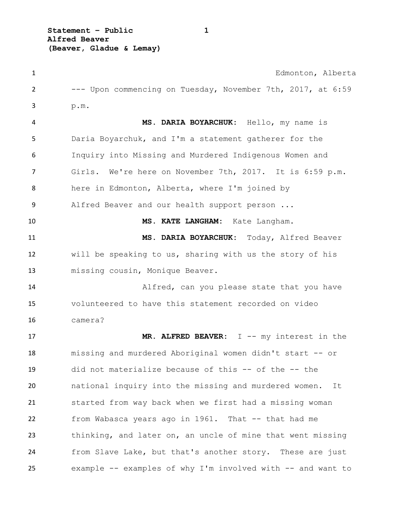**Statement – Public 1 Alfred Beaver (Beaver, Gladue & Lemay)**

 Edmonton, Alberta --- Upon commencing on Tuesday, November 7th, 2017, at 6:59 p.m. **MS. DARIA BOYARCHUK:** Hello, my name is Daria Boyarchuk, and I'm a statement gatherer for the Inquiry into Missing and Murdered Indigenous Women and Girls. We're here on November 7th, 2017. It is 6:59 p.m. here in Edmonton, Alberta, where I'm joined by Alfred Beaver and our health support person ... **MS. KATE LANGHAM:** Kate Langham. **MS. DARIA BOYARCHUK:** Today, Alfred Beaver will be speaking to us, sharing with us the story of his missing cousin, Monique Beaver. 14 Alfred, can you please state that you have volunteered to have this statement recorded on video camera? **MR. ALFRED BEAVER:** I -- my interest in the missing and murdered Aboriginal women didn't start -- or did not materialize because of this -- of the -- the national inquiry into the missing and murdered women. It started from way back when we first had a missing woman from Wabasca years ago in 1961. That -- that had me thinking, and later on, an uncle of mine that went missing from Slave Lake, but that's another story. These are just example -- examples of why I'm involved with -- and want to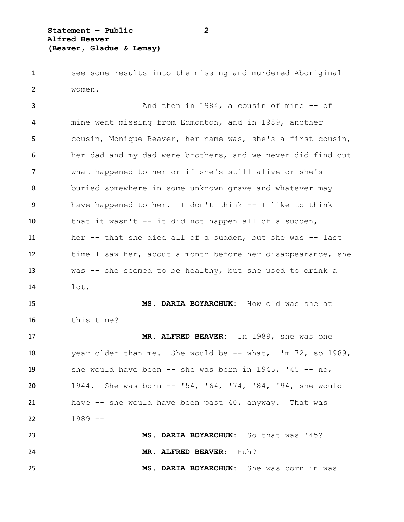see some results into the missing and murdered Aboriginal women.

3 And then in 1984, a cousin of mine -- of mine went missing from Edmonton, and in 1989, another cousin, Monique Beaver, her name was, she's a first cousin, her dad and my dad were brothers, and we never did find out what happened to her or if she's still alive or she's buried somewhere in some unknown grave and whatever may have happened to her. I don't think -- I like to think 10 that it wasn't -- it did not happen all of a sudden, her -- that she died all of a sudden, but she was -- last 12 time I saw her, about a month before her disappearance, she was -- she seemed to be healthy, but she used to drink a lot.

 **MS. DARIA BOYARCHUK:** How old was she at this time?

 **MR. ALFRED BEAVER:** In 1989, she was one 18 year older than me. She would be -- what, I'm 72, so 1989, she would have been -- she was born in 1945, '45 -- no, 1944. She was born -- '54, '64, '74, '84, '94, she would have -- she would have been past 40, anyway. That was 1989 --

 **MS. DARIA BOYARCHUK:** So that was '45? **MR. ALFRED BEAVER:** Huh? **MS. DARIA BOYARCHUK:** She was born in was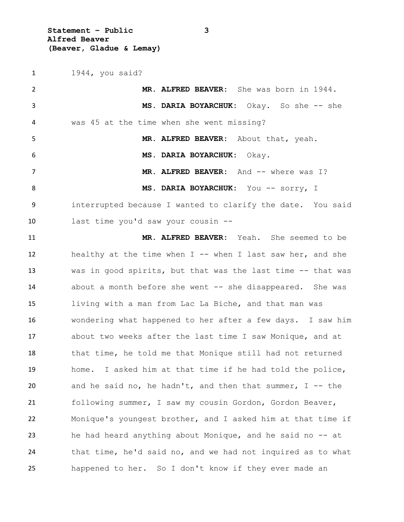**Statement – Public 3 Alfred Beaver (Beaver, Gladue & Lemay)**

 1944, you said? **MR. ALFRED BEAVER:** She was born in 1944. **MS. DARIA BOYARCHUK:** Okay. So she -- she was 45 at the time when she went missing? **MR. ALFRED BEAVER:** About that, yeah. **MS. DARIA BOYARCHUK:** Okay. 7 MR. ALFRED BEAVER: And -- where was I? **MS. DARIA BOYARCHUK:** You -- sorry, I interrupted because I wanted to clarify the date. You said last time you'd saw your cousin -- **MR. ALFRED BEAVER:** Yeah. She seemed to be healthy at the time when I -- when I last saw her, and she was in good spirits, but that was the last time -- that was about a month before she went -- she disappeared. She was living with a man from Lac La Biche, and that man was wondering what happened to her after a few days. I saw him about two weeks after the last time I saw Monique, and at that time, he told me that Monique still had not returned home. I asked him at that time if he had told the police, and he said no, he hadn't, and then that summer, I -- the following summer, I saw my cousin Gordon, Gordon Beaver, Monique's youngest brother, and I asked him at that time if he had heard anything about Monique, and he said no -- at that time, he'd said no, and we had not inquired as to what happened to her. So I don't know if they ever made an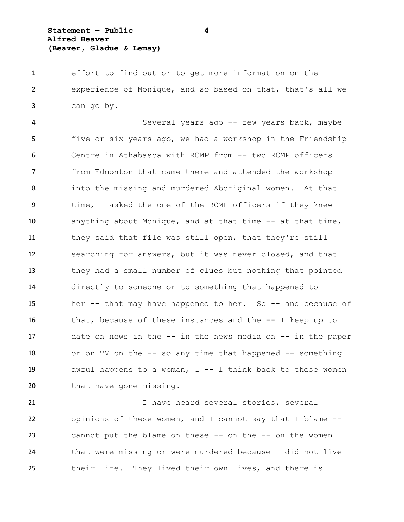**Statement – Public 4 Alfred Beaver (Beaver, Gladue & Lemay)**

 effort to find out or to get more information on the experience of Monique, and so based on that, that's all we can go by.

 Several years ago -- few years back, maybe five or six years ago, we had a workshop in the Friendship Centre in Athabasca with RCMP from -- two RCMP officers from Edmonton that came there and attended the workshop into the missing and murdered Aboriginal women. At that time, I asked the one of the RCMP officers if they knew anything about Monique, and at that time -- at that time, they said that file was still open, that they're still searching for answers, but it was never closed, and that they had a small number of clues but nothing that pointed directly to someone or to something that happened to her -- that may have happened to her. So -- and because of that, because of these instances and the -- I keep up to date on news in the -- in the news media on -- in the paper or on TV on the -- so any time that happened -- something awful happens to a woman, I -- I think back to these women 20 that have gone missing.

 I have heard several stories, several opinions of these women, and I cannot say that I blame -- I 23 cannot put the blame on these -- on the -- on the women that were missing or were murdered because I did not live their life. They lived their own lives, and there is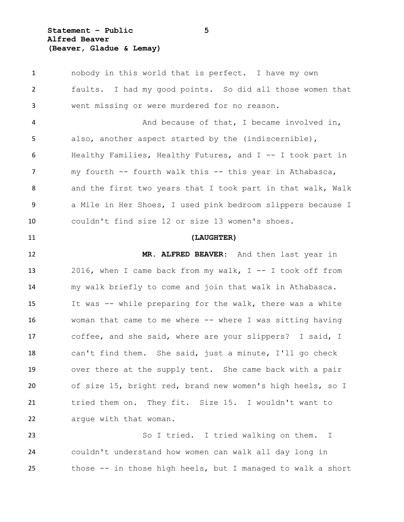**Statement – Public 5 Alfred Beaver (Beaver, Gladue & Lemay)**

 nobody in this world that is perfect. I have my own faults. I had my good points. So did all those women that went missing or were murdered for no reason. 4 And because of that, I became involved in, also, another aspect started by the (indiscernible), Healthy Families, Healthy Futures, and I -- I took part in 7 my fourth -- fourth walk this -- this year in Athabasca, 8 and the first two years that I took part in that walk, Walk a Mile in Her Shoes, I used pink bedroom slippers because I couldn't find size 12 or size 13 women's shoes. **(LAUGHTER) MR. ALFRED BEAVER:** And then last year in 2016, when I came back from my walk, I -- I took off from my walk briefly to come and join that walk in Athabasca. It was -- while preparing for the walk, there was a white woman that came to me where -- where I was sitting having coffee, and she said, where are your slippers? I said, I can't find them. She said, just a minute, I'll go check over there at the supply tent. She came back with a pair of size 15, bright red, brand new women's high heels, so I tried them on. They fit. Size 15. I wouldn't want to argue with that woman. So I tried. I tried walking on them. I couldn't understand how women can walk all day long in

those -- in those high heels, but I managed to walk a short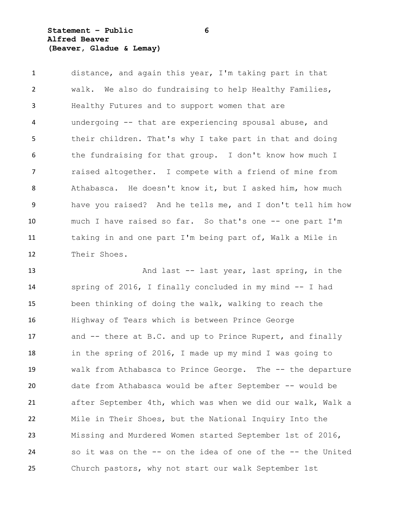**Statement – Public 6 Alfred Beaver (Beaver, Gladue & Lemay)**

 distance, and again this year, I'm taking part in that walk. We also do fundraising to help Healthy Families, Healthy Futures and to support women that are undergoing -- that are experiencing spousal abuse, and their children. That's why I take part in that and doing the fundraising for that group. I don't know how much I raised altogether. I compete with a friend of mine from Athabasca. He doesn't know it, but I asked him, how much have you raised? And he tells me, and I don't tell him how much I have raised so far. So that's one -- one part I'm taking in and one part I'm being part of, Walk a Mile in Their Shoes.

13 And last -- last year, last spring, in the spring of 2016, I finally concluded in my mind -- I had been thinking of doing the walk, walking to reach the Highway of Tears which is between Prince George and -- there at B.C. and up to Prince Rupert, and finally in the spring of 2016, I made up my mind I was going to walk from Athabasca to Prince George. The -- the departure date from Athabasca would be after September -- would be after September 4th, which was when we did our walk, Walk a Mile in Their Shoes, but the National Inquiry Into the Missing and Murdered Women started September 1st of 2016, so it was on the -- on the idea of one of the -- the United Church pastors, why not start our walk September 1st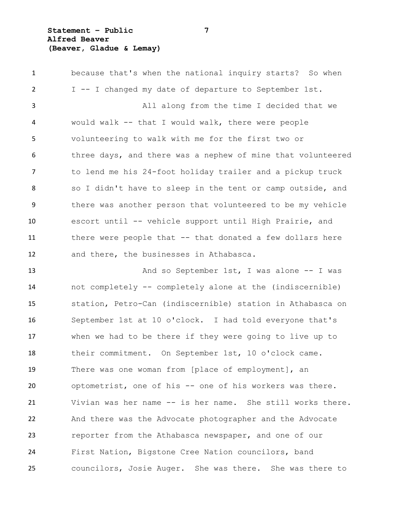**Statement – Public 7 Alfred Beaver (Beaver, Gladue & Lemay)**

 because that's when the national inquiry starts? So when I -- I changed my date of departure to September 1st. All along from the time I decided that we would walk -- that I would walk, there were people volunteering to walk with me for the first two or 6 three days, and there was a nephew of mine that volunteered to lend me his 24-foot holiday trailer and a pickup truck so I didn't have to sleep in the tent or camp outside, and there was another person that volunteered to be my vehicle escort until -- vehicle support until High Prairie, and there were people that -- that donated a few dollars here and there, the businesses in Athabasca.

13 And so September 1st, I was alone -- I was not completely -- completely alone at the (indiscernible) station, Petro-Can (indiscernible) station in Athabasca on September 1st at 10 o'clock. I had told everyone that's when we had to be there if they were going to live up to their commitment. On September 1st, 10 o'clock came. There was one woman from [place of employment], an optometrist, one of his -- one of his workers was there. Vivian was her name -- is her name. She still works there. And there was the Advocate photographer and the Advocate reporter from the Athabasca newspaper, and one of our First Nation, Bigstone Cree Nation councilors, band councilors, Josie Auger. She was there. She was there to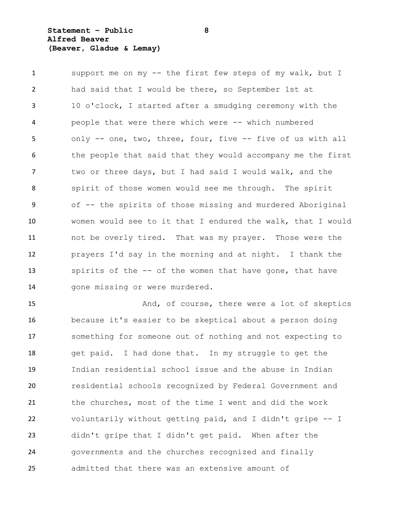## **Statement – Public 8 Alfred Beaver (Beaver, Gladue & Lemay)**

 support me on my -- the first few steps of my walk, but I had said that I would be there, so September 1st at 10 o'clock, I started after a smudging ceremony with the people that were there which were -- which numbered only -- one, two, three, four, five -- five of us with all 6 the people that said that they would accompany me the first two or three days, but I had said I would walk, and the spirit of those women would see me through. The spirit of -- the spirits of those missing and murdered Aboriginal women would see to it that I endured the walk, that I would not be overly tired. That was my prayer. Those were the prayers I'd say in the morning and at night. I thank the spirits of the -- of the women that have gone, that have 14 gone missing or were murdered.

15 And, of course, there were a lot of skeptics because it's easier to be skeptical about a person doing something for someone out of nothing and not expecting to get paid. I had done that. In my struggle to get the Indian residential school issue and the abuse in Indian residential schools recognized by Federal Government and the churches, most of the time I went and did the work voluntarily without getting paid, and I didn't gripe -- I didn't gripe that I didn't get paid. When after the governments and the churches recognized and finally admitted that there was an extensive amount of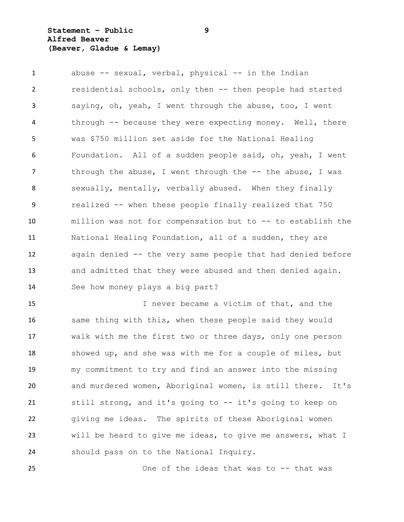## **Statement – Public 9 Alfred Beaver (Beaver, Gladue & Lemay)**

 abuse -- sexual, verbal, physical -- in the Indian residential schools, only then -- then people had started saying, oh, yeah, I went through the abuse, too, I went through -- because they were expecting money. Well, there was \$750 million set aside for the National Healing Foundation. All of a sudden people said, oh, yeah, I went 7 through the abuse, I went through the -- the abuse, I was sexually, mentally, verbally abused. When they finally realized -- when these people finally realized that 750 million was not for compensation but to -- to establish the National Healing Foundation, all of a sudden, they are again denied -- the very same people that had denied before and admitted that they were abused and then denied again. See how money plays a big part?

 I never became a victim of that, and the same thing with this, when these people said they would walk with me the first two or three days, only one person showed up, and she was with me for a couple of miles, but my commitment to try and find an answer into the missing and murdered women, Aboriginal women, is still there. It's still strong, and it's going to -- it's going to keep on giving me ideas. The spirits of these Aboriginal women will be heard to give me ideas, to give me answers, what I should pass on to the National Inquiry.

One of the ideas that was to -- that was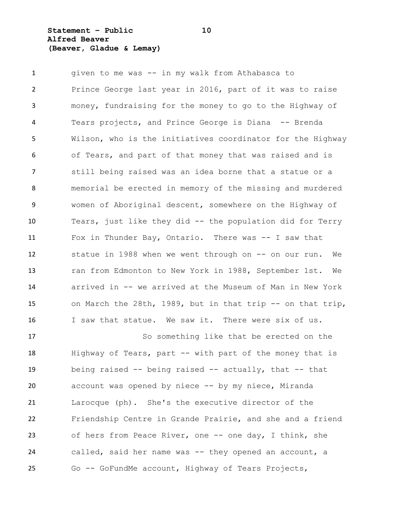**Statement – Public 10 Alfred Beaver (Beaver, Gladue & Lemay)**

 given to me was -- in my walk from Athabasca to Prince George last year in 2016, part of it was to raise money, fundraising for the money to go to the Highway of Tears projects, and Prince George is Diana -- Brenda Wilson, who is the initiatives coordinator for the Highway of Tears, and part of that money that was raised and is still being raised was an idea borne that a statue or a memorial be erected in memory of the missing and murdered women of Aboriginal descent, somewhere on the Highway of Tears, just like they did -- the population did for Terry Fox in Thunder Bay, Ontario. There was -- I saw that statue in 1988 when we went through on -- on our run. We ran from Edmonton to New York in 1988, September 1st. We arrived in -- we arrived at the Museum of Man in New York on March the 28th, 1989, but in that trip -- on that trip, 16 I saw that statue. We saw it. There were six of us.

 So something like that be erected on the Highway of Tears, part -- with part of the money that is being raised -- being raised -- actually, that -- that account was opened by niece -- by my niece, Miranda Larocque (ph). She's the executive director of the Friendship Centre in Grande Prairie, and she and a friend of hers from Peace River, one -- one day, I think, she called, said her name was -- they opened an account, a Go -- GoFundMe account, Highway of Tears Projects,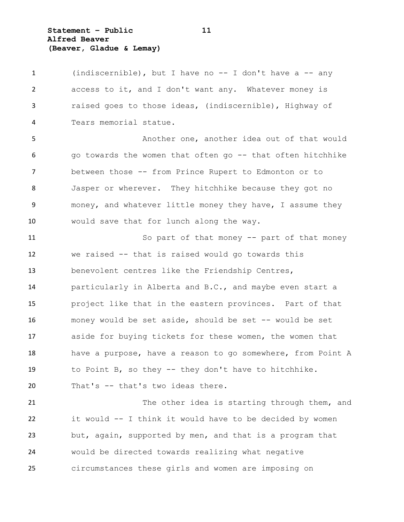**Statement – Public 11 Alfred Beaver (Beaver, Gladue & Lemay)**

 (indiscernible), but I have no -- I don't have a -- any access to it, and I don't want any. Whatever money is raised goes to those ideas, (indiscernible), Highway of Tears memorial statue.

 Another one, another idea out of that would go towards the women that often go -- that often hitchhike between those -- from Prince Rupert to Edmonton or to Jasper or wherever. They hitchhike because they got no money, and whatever little money they have, I assume they would save that for lunch along the way.

 So part of that money -- part of that money we raised -- that is raised would go towards this benevolent centres like the Friendship Centres, particularly in Alberta and B.C., and maybe even start a project like that in the eastern provinces. Part of that money would be set aside, should be set -- would be set aside for buying tickets for these women, the women that 18 have a purpose, have a reason to go somewhere, from Point A to Point B, so they -- they don't have to hitchhike. That's -- that's two ideas there.

21 The other idea is starting through them, and it would -- I think it would have to be decided by women but, again, supported by men, and that is a program that would be directed towards realizing what negative circumstances these girls and women are imposing on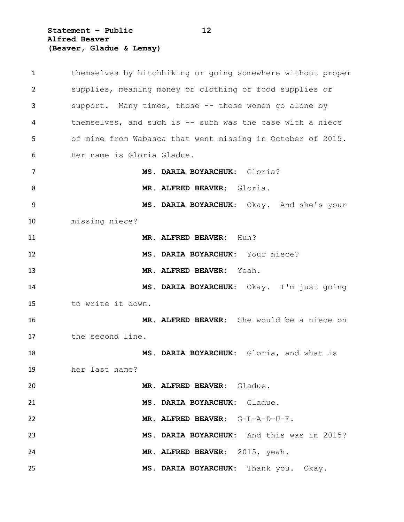**Statement – Public 12 Alfred Beaver (Beaver, Gladue & Lemay)**

| $\mathbf{1}$ | themselves by hitchhiking or going somewhere without proper |
|--------------|-------------------------------------------------------------|
| 2            | supplies, meaning money or clothing or food supplies or     |
| 3            | support. Many times, those -- those women go alone by       |
| 4            | themselves, and such is -- such was the case with a niece   |
| 5            | of mine from Wabasca that went missing in October of 2015.  |
| 6            | Her name is Gloria Gladue.                                  |
| 7            | MS. DARIA BOYARCHUK: Gloria?                                |
| 8            | MR. ALFRED BEAVER: Gloria.                                  |
| 9            | MS. DARIA BOYARCHUK: Okay. And she's your                   |
| 10           | missing niece?                                              |
| 11           | MR. ALFRED BEAVER: Huh?                                     |
| 12           | MS. DARIA BOYARCHUK: Your niece?                            |
| 13           | MR. ALFRED BEAVER: Yeah.                                    |
| 14           | MS. DARIA BOYARCHUK: Okay. I'm just going                   |
| 15           | to write it down.                                           |
| 16           | MR. ALFRED BEAVER: She would be a niece on                  |
| 17           | the second line.                                            |
| 18           | MS. DARIA BOYARCHUK: Gloria, and what is                    |
| 19           | her last name?                                              |
| 20           | MR. ALFRED BEAVER: Gladue.                                  |
| 21           | MS. DARIA BOYARCHUK: Gladue.                                |
| 22           | MR. ALFRED BEAVER: G-L-A-D-U-E.                             |
| 23           | MS. DARIA BOYARCHUK: And this was in 2015?                  |
| 24           | MR. ALFRED BEAVER: 2015, yeah.                              |
| 25           | MS. DARIA BOYARCHUK: Thank you. Okay.                       |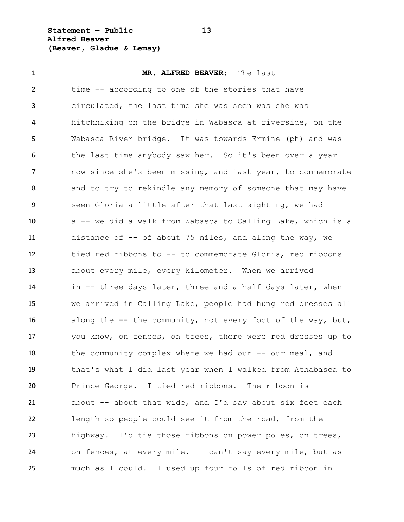**Statement – Public 13 Alfred Beaver (Beaver, Gladue & Lemay)**

 **MR. ALFRED BEAVER:** The last time -- according to one of the stories that have circulated, the last time she was seen was she was hitchhiking on the bridge in Wabasca at riverside, on the Wabasca River bridge. It was towards Ermine (ph) and was the last time anybody saw her. So it's been over a year now since she's been missing, and last year, to commemorate and to try to rekindle any memory of someone that may have seen Gloria a little after that last sighting, we had a -- we did a walk from Wabasca to Calling Lake, which is a distance of -- of about 75 miles, and along the way, we tied red ribbons to -- to commemorate Gloria, red ribbons about every mile, every kilometer. When we arrived in -- three days later, three and a half days later, when we arrived in Calling Lake, people had hung red dresses all 16 along the -- the community, not every foot of the way, but, you know, on fences, on trees, there were red dresses up to 18 the community complex where we had our -- our meal, and that's what I did last year when I walked from Athabasca to Prince George. I tied red ribbons. The ribbon is about -- about that wide, and I'd say about six feet each length so people could see it from the road, from the highway. I'd tie those ribbons on power poles, on trees, on fences, at every mile. I can't say every mile, but as much as I could. I used up four rolls of red ribbon in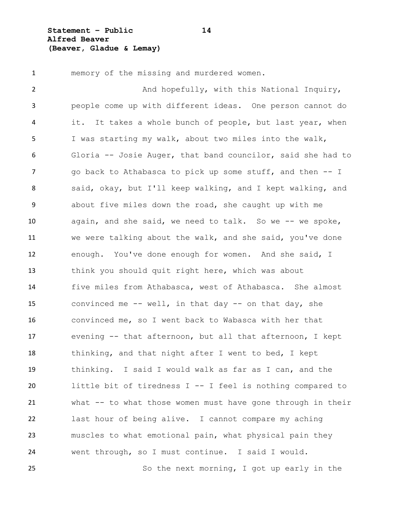**Statement – Public 14 Alfred Beaver (Beaver, Gladue & Lemay)**

memory of the missing and murdered women.

2 And hopefully, with this National Inquiry, people come up with different ideas. One person cannot do it. It takes a whole bunch of people, but last year, when I was starting my walk, about two miles into the walk, Gloria -- Josie Auger, that band councilor, said she had to 7 go back to Athabasca to pick up some stuff, and then -- I said, okay, but I'll keep walking, and I kept walking, and about five miles down the road, she caught up with me again, and she said, we need to talk. So we -- we spoke, we were talking about the walk, and she said, you've done enough. You've done enough for women. And she said, I think you should quit right here, which was about five miles from Athabasca, west of Athabasca. She almost convinced me -- well, in that day -- on that day, she convinced me, so I went back to Wabasca with her that evening -- that afternoon, but all that afternoon, I kept thinking, and that night after I went to bed, I kept thinking. I said I would walk as far as I can, and the little bit of tiredness I -- I feel is nothing compared to what -- to what those women must have gone through in their last hour of being alive. I cannot compare my aching muscles to what emotional pain, what physical pain they went through, so I must continue. I said I would. So the next morning, I got up early in the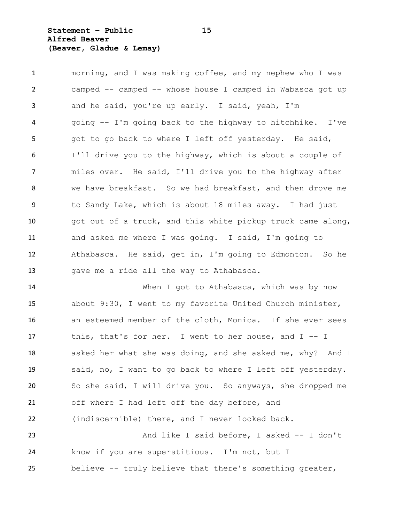**Statement – Public 15 Alfred Beaver (Beaver, Gladue & Lemay)**

 morning, and I was making coffee, and my nephew who I was camped -- camped -- whose house I camped in Wabasca got up and he said, you're up early. I said, yeah, I'm going -- I'm going back to the highway to hitchhike. I've 5 got to go back to where I left off yesterday. He said, I'll drive you to the highway, which is about a couple of miles over. He said, I'll drive you to the highway after we have breakfast. So we had breakfast, and then drove me to Sandy Lake, which is about 18 miles away. I had just got out of a truck, and this white pickup truck came along, and asked me where I was going. I said, I'm going to Athabasca. He said, get in, I'm going to Edmonton. So he gave me a ride all the way to Athabasca.

 When I got to Athabasca, which was by now about 9:30, I went to my favorite United Church minister, an esteemed member of the cloth, Monica. If she ever sees this, that's for her. I went to her house, and I -- I 18 asked her what she was doing, and she asked me, why? And I said, no, I want to go back to where I left off yesterday. So she said, I will drive you. So anyways, she dropped me off where I had left off the day before, and (indiscernible) there, and I never looked back. And like I said before, I asked -- I don't know if you are superstitious. I'm not, but I

believe -- truly believe that there's something greater,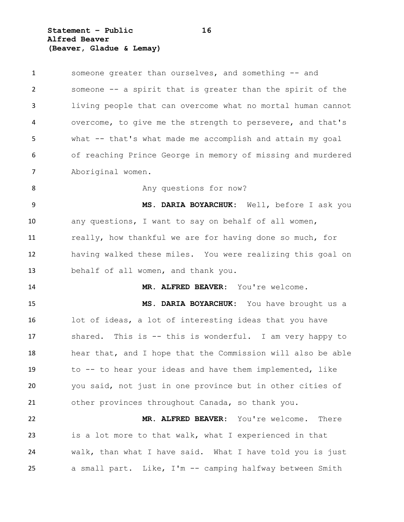**Statement – Public 16 Alfred Beaver (Beaver, Gladue & Lemay)**

 someone greater than ourselves, and something -- and someone -- a spirit that is greater than the spirit of the living people that can overcome what no mortal human cannot overcome, to give me the strength to persevere, and that's what -- that's what made me accomplish and attain my goal of reaching Prince George in memory of missing and murdered Aboriginal women. 8 Any questions for now? **MS. DARIA BOYARCHUK:** Well, before I ask you any questions, I want to say on behalf of all women, really, how thankful we are for having done so much, for having walked these miles. You were realizing this goal on behalf of all women, and thank you. **MR. ALFRED BEAVER:** You're welcome. **MS. DARIA BOYARCHUK:** You have brought us a lot of ideas, a lot of interesting ideas that you have shared. This is -- this is wonderful. I am very happy to hear that, and I hope that the Commission will also be able to -- to hear your ideas and have them implemented, like you said, not just in one province but in other cities of other provinces throughout Canada, so thank you. **MR. ALFRED BEAVER:** You're welcome. There is a lot more to that walk, what I experienced in that walk, than what I have said. What I have told you is just a small part. Like, I'm -- camping halfway between Smith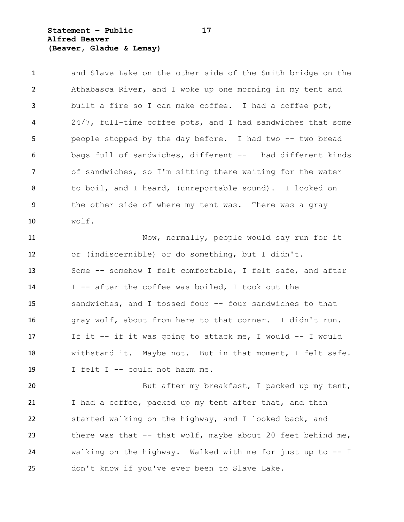**Statement – Public 17 Alfred Beaver (Beaver, Gladue & Lemay)**

 and Slave Lake on the other side of the Smith bridge on the Athabasca River, and I woke up one morning in my tent and built a fire so I can make coffee. I had a coffee pot, 24/7, full-time coffee pots, and I had sandwiches that some people stopped by the day before. I had two -- two bread bags full of sandwiches, different -- I had different kinds of sandwiches, so I'm sitting there waiting for the water to boil, and I heard, (unreportable sound). I looked on the other side of where my tent was. There was a gray wolf.

 Now, normally, people would say run for it or (indiscernible) or do something, but I didn't. Some -- somehow I felt comfortable, I felt safe, and after I -- after the coffee was boiled, I took out the sandwiches, and I tossed four -- four sandwiches to that gray wolf, about from here to that corner. I didn't run. If it -- if it was going to attack me, I would -- I would withstand it. Maybe not. But in that moment, I felt safe. I felt I -- could not harm me.

20 But after my breakfast, I packed up my tent, 21 I had a coffee, packed up my tent after that, and then started walking on the highway, and I looked back, and 23 there was that  $--$  that wolf, maybe about 20 feet behind me, walking on the highway. Walked with me for just up to -- I don't know if you've ever been to Slave Lake.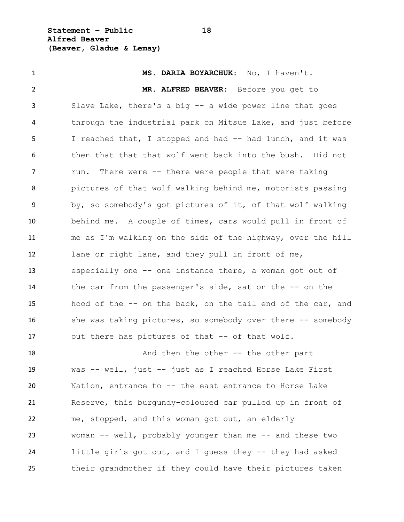**Statement – Public 18 Alfred Beaver (Beaver, Gladue & Lemay)**

 **MS. DARIA BOYARCHUK:** No, I haven't. **MR. ALFRED BEAVER:** Before you get to Slave Lake, there's a big -- a wide power line that goes through the industrial park on Mitsue Lake, and just before I reached that, I stopped and had -- had lunch, and it was then that that that wolf went back into the bush. Did not 7 run. There were -- there were people that were taking pictures of that wolf walking behind me, motorists passing by, so somebody's got pictures of it, of that wolf walking behind me. A couple of times, cars would pull in front of me as I'm walking on the side of the highway, over the hill lane or right lane, and they pull in front of me, especially one -- one instance there, a woman got out of 14 the car from the passenger's side, sat on the -- on the hood of the -- on the back, on the tail end of the car, and 16 she was taking pictures, so somebody over there -- somebody 17 out there has pictures of that -- of that wolf. 18 And then the other -- the other part was -- well, just -- just as I reached Horse Lake First Nation, entrance to -- the east entrance to Horse Lake Reserve, this burgundy-coloured car pulled up in front of me, stopped, and this woman got out, an elderly woman -- well, probably younger than me -- and these two little girls got out, and I guess they -- they had asked their grandmother if they could have their pictures taken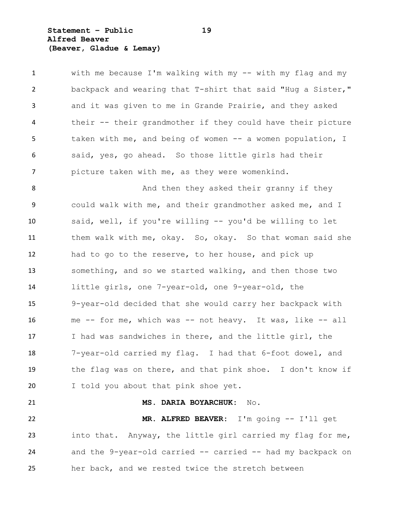**Statement – Public 19 Alfred Beaver (Beaver, Gladue & Lemay)**

 with me because I'm walking with my -- with my flag and my backpack and wearing that T-shirt that said "Hug a Sister," and it was given to me in Grande Prairie, and they asked their -- their grandmother if they could have their picture 5 taken with me, and being of women -- a women population, I said, yes, go ahead. So those little girls had their picture taken with me, as they were womenkind.

8 And then they asked their granny if they could walk with me, and their grandmother asked me, and I said, well, if you're willing -- you'd be willing to let them walk with me, okay. So, okay. So that woman said she had to go to the reserve, to her house, and pick up something, and so we started walking, and then those two little girls, one 7-year-old, one 9-year-old, the 9-year-old decided that she would carry her backpack with me -- for me, which was -- not heavy. It was, like -- all I had was sandwiches in there, and the little girl, the 7-year-old carried my flag. I had that 6-foot dowel, and the flag was on there, and that pink shoe. I don't know if I told you about that pink shoe yet.

 **MS. DARIA BOYARCHUK:** No. **MR. ALFRED BEAVER:** I'm going -- I'll get into that. Anyway, the little girl carried my flag for me, and the 9-year-old carried -- carried -- had my backpack on her back, and we rested twice the stretch between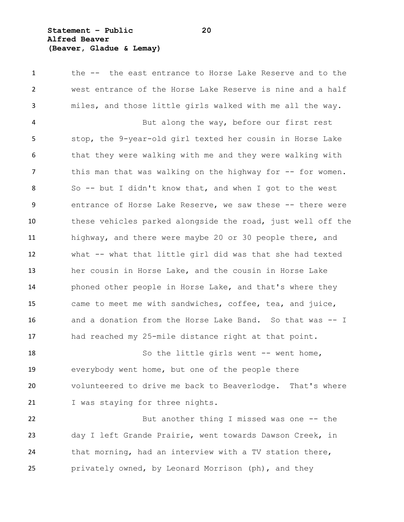**Statement – Public 20 Alfred Beaver (Beaver, Gladue & Lemay)**

 the -- the east entrance to Horse Lake Reserve and to the west entrance of the Horse Lake Reserve is nine and a half miles, and those little girls walked with me all the way.

 But along the way, before our first rest stop, the 9-year-old girl texted her cousin in Horse Lake 6 that they were walking with me and they were walking with 7 this man that was walking on the highway for -- for women. So -- but I didn't know that, and when I got to the west entrance of Horse Lake Reserve, we saw these -- there were these vehicles parked alongside the road, just well off the highway, and there were maybe 20 or 30 people there, and what -- what that little girl did was that she had texted her cousin in Horse Lake, and the cousin in Horse Lake phoned other people in Horse Lake, and that's where they came to meet me with sandwiches, coffee, tea, and juice, and a donation from the Horse Lake Band. So that was -- I had reached my 25-mile distance right at that point.

18 So the little girls went -- went home, everybody went home, but one of the people there volunteered to drive me back to Beaverlodge. That's where 21 I was staying for three nights.

22 But another thing I missed was one -- the day I left Grande Prairie, went towards Dawson Creek, in that morning, had an interview with a TV station there, privately owned, by Leonard Morrison (ph), and they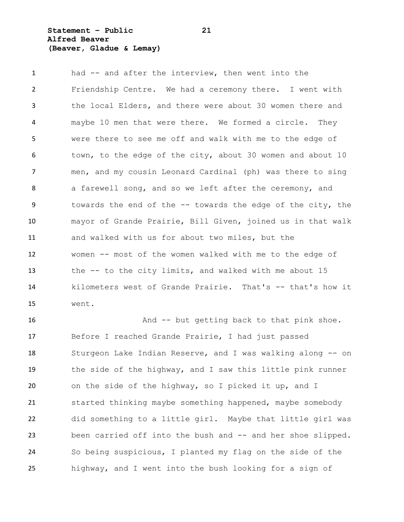**Statement – Public 21 Alfred Beaver (Beaver, Gladue & Lemay)**

 had -- and after the interview, then went into the Friendship Centre. We had a ceremony there. I went with the local Elders, and there were about 30 women there and maybe 10 men that were there. We formed a circle. They were there to see me off and walk with me to the edge of town, to the edge of the city, about 30 women and about 10 men, and my cousin Leonard Cardinal (ph) was there to sing 8 a farewell song, and so we left after the ceremony, and 9 towards the end of the -- towards the edge of the city, the mayor of Grande Prairie, Bill Given, joined us in that walk and walked with us for about two miles, but the women -- most of the women walked with me to the edge of the -- to the city limits, and walked with me about 15 kilometers west of Grande Prairie. That's -- that's how it went.

 And -- but getting back to that pink shoe. Before I reached Grande Prairie, I had just passed Sturgeon Lake Indian Reserve, and I was walking along -- on the side of the highway, and I saw this little pink runner on the side of the highway, so I picked it up, and I started thinking maybe something happened, maybe somebody did something to a little girl. Maybe that little girl was 23 been carried off into the bush and -- and her shoe slipped. So being suspicious, I planted my flag on the side of the highway, and I went into the bush looking for a sign of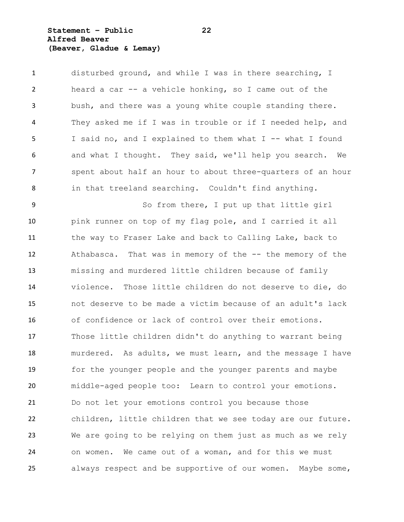**Statement – Public 22 Alfred Beaver (Beaver, Gladue & Lemay)**

 disturbed ground, and while I was in there searching, I heard a car -- a vehicle honking, so I came out of the bush, and there was a young white couple standing there. They asked me if I was in trouble or if I needed help, and I said no, and I explained to them what I -- what I found and what I thought. They said, we'll help you search. We 7 spent about half an hour to about three-quarters of an hour in that treeland searching. Couldn't find anything.

 So from there, I put up that little girl pink runner on top of my flag pole, and I carried it all the way to Fraser Lake and back to Calling Lake, back to Athabasca. That was in memory of the -- the memory of the missing and murdered little children because of family violence. Those little children do not deserve to die, do not deserve to be made a victim because of an adult's lack of confidence or lack of control over their emotions. Those little children didn't do anything to warrant being murdered. As adults, we must learn, and the message I have for the younger people and the younger parents and maybe middle-aged people too: Learn to control your emotions. Do not let your emotions control you because those children, little children that we see today are our future. We are going to be relying on them just as much as we rely on women. We came out of a woman, and for this we must always respect and be supportive of our women. Maybe some,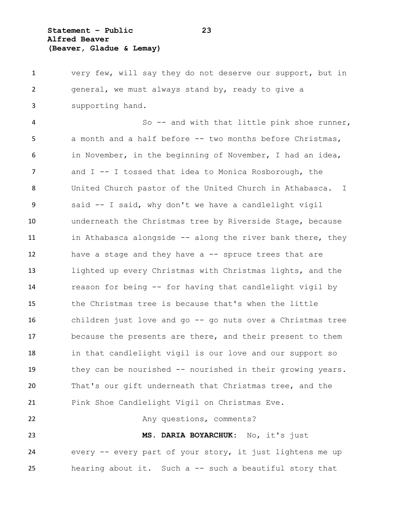**Statement – Public 23 Alfred Beaver (Beaver, Gladue & Lemay)**

 very few, will say they do not deserve our support, but in general, we must always stand by, ready to give a supporting hand.

 So -- and with that little pink shoe runner, a month and a half before -- two months before Christmas, in November, in the beginning of November, I had an idea, and I -- I tossed that idea to Monica Rosborough, the United Church pastor of the United Church in Athabasca. I said -- I said, why don't we have a candlelight vigil underneath the Christmas tree by Riverside Stage, because 11 in Athabasca alongside -- along the river bank there, they have a stage and they have a -- spruce trees that are lighted up every Christmas with Christmas lights, and the reason for being -- for having that candlelight vigil by the Christmas tree is because that's when the little children just love and go -- go nuts over a Christmas tree because the presents are there, and their present to them in that candlelight vigil is our love and our support so they can be nourished -- nourished in their growing years. That's our gift underneath that Christmas tree, and the Pink Shoe Candlelight Vigil on Christmas Eve.

22 Any questions, comments?

 **MS. DARIA BOYARCHUK:** No, it's just every -- every part of your story, it just lightens me up hearing about it. Such a -- such a beautiful story that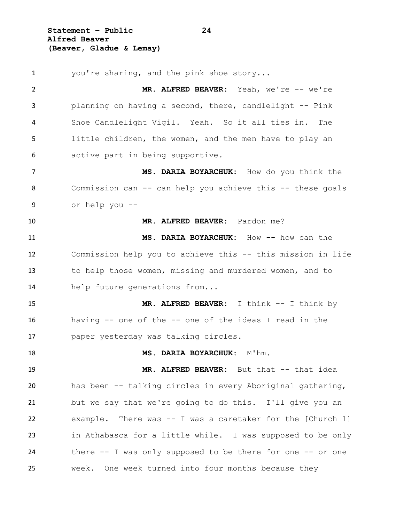**Statement – Public 24 Alfred Beaver (Beaver, Gladue & Lemay)**

1 you're sharing, and the pink shoe story... **MR. ALFRED BEAVER:** Yeah, we're -- we're planning on having a second, there, candlelight -- Pink Shoe Candlelight Vigil. Yeah. So it all ties in. The little children, the women, and the men have to play an active part in being supportive. **MS. DARIA BOYARCHUK:** How do you think the Commission can -- can help you achieve this -- these goals or help you -- **MR. ALFRED BEAVER:** Pardon me? **MS. DARIA BOYARCHUK:** How -- how can the 12 Commission help you to achieve this -- this mission in life to help those women, missing and murdered women, and to help future generations from... 15 MR. ALFRED BEAVER: I think  $--$  I think by having -- one of the -- one of the ideas I read in the paper yesterday was talking circles. **MS. DARIA BOYARCHUK:** M'hm. 19 MR. ALFRED BEAVER: But that -- that idea has been -- talking circles in every Aboriginal gathering, but we say that we're going to do this. I'll give you an example. There was -- I was a caretaker for the [Church 1] in Athabasca for a little while. I was supposed to be only 24 there -- I was only supposed to be there for one -- or one week. One week turned into four months because they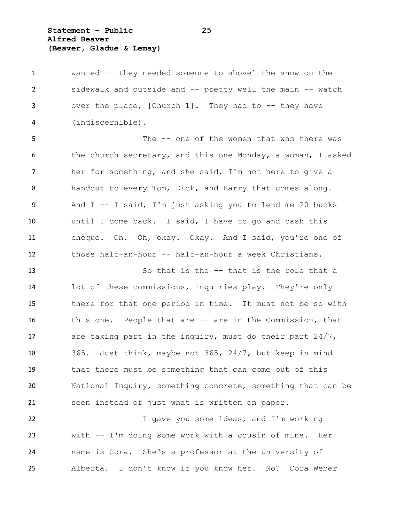**Statement – Public 25 Alfred Beaver (Beaver, Gladue & Lemay)**

 wanted -- they needed someone to shovel the snow on the sidewalk and outside and -- pretty well the main -- watch over the place, [Church 1]. They had to -- they have (indiscernible).

 The -- one of the women that was there was the church secretary, and this one Monday, a woman, I asked her for something, and she said, I'm not here to give a 8 handout to every Tom, Dick, and Harry that comes along. And I -- I said, I'm just asking you to lend me 20 bucks until I come back. I said, I have to go and cash this cheque. Oh. Oh, okay. Okay. And I said, you're one of those half-an-hour -- half-an-hour a week Christians.

 So that is the -- that is the role that a lot of these commissions, inquiries play. They're only there for that one period in time. It must not be so with this one. People that are -- are in the Commission, that are taking part in the inquiry, must do their part 24/7, 365. Just think, maybe not 365, 24/7, but keep in mind that there must be something that can come out of this National Inquiry, something concrete, something that can be seen instead of just what is written on paper.

 I gave you some ideas, and I'm working with -- I'm doing some work with a cousin of mine. Her name is Cora. She's a professor at the University of Alberta. I don't know if you know her. No? Cora Weber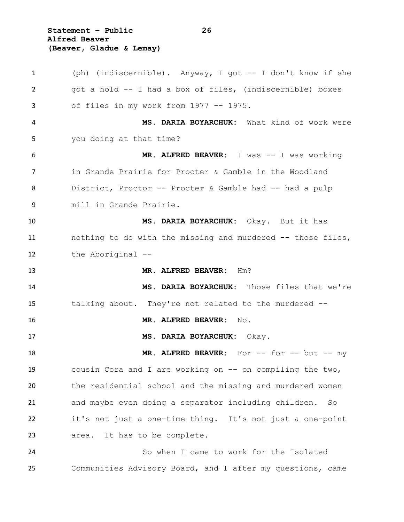**Statement – Public 26 Alfred Beaver (Beaver, Gladue & Lemay)**

 (ph) (indiscernible). Anyway, I got -- I don't know if she got a hold -- I had a box of files, (indiscernible) boxes of files in my work from 1977 -- 1975. **MS. DARIA BOYARCHUK:** What kind of work were you doing at that time? MR. ALFRED BEAVER: I was -- I was working in Grande Prairie for Procter & Gamble in the Woodland District, Proctor -- Procter & Gamble had -- had a pulp mill in Grande Prairie. **MS. DARIA BOYARCHUK:** Okay. But it has nothing to do with the missing and murdered -- those files, the Aboriginal -- **MR. ALFRED BEAVER:** Hm? **MS. DARIA BOYARCHUK:** Those files that we're talking about. They're not related to the murdered -- **MR. ALFRED BEAVER:** No. **MS. DARIA BOYARCHUK:** Okay. **MR. ALFRED BEAVER:** For -- for -- but -- my cousin Cora and I are working on -- on compiling the two, the residential school and the missing and murdered women and maybe even doing a separator including children. So it's not just a one-time thing. It's not just a one-point area. It has to be complete. So when I came to work for the Isolated Communities Advisory Board, and I after my questions, came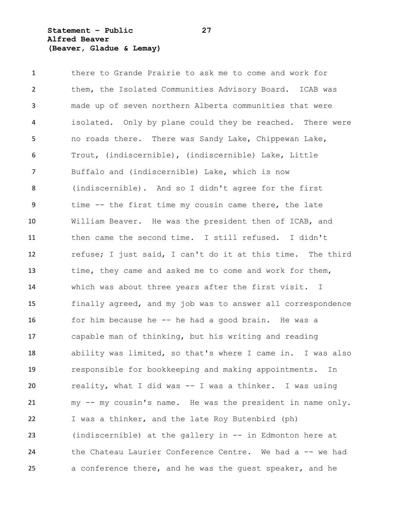**Statement – Public 27 Alfred Beaver (Beaver, Gladue & Lemay)**

 there to Grande Prairie to ask me to come and work for them, the Isolated Communities Advisory Board. ICAB was made up of seven northern Alberta communities that were isolated. Only by plane could they be reached. There were no roads there. There was Sandy Lake, Chippewan Lake, Trout, (indiscernible), (indiscernible) Lake, Little Buffalo and (indiscernible) Lake, which is now (indiscernible). And so I didn't agree for the first time -- the first time my cousin came there, the late William Beaver. He was the president then of ICAB, and then came the second time. I still refused. I didn't refuse; I just said, I can't do it at this time. The third time, they came and asked me to come and work for them, which was about three years after the first visit. I finally agreed, and my job was to answer all correspondence for him because he -- he had a good brain. He was a capable man of thinking, but his writing and reading ability was limited, so that's where I came in. I was also responsible for bookkeeping and making appointments. In reality, what I did was -- I was a thinker. I was using my -- my cousin's name. He was the president in name only. I was a thinker, and the late Roy Butenbird (ph) (indiscernible) at the gallery in -- in Edmonton here at the Chateau Laurier Conference Centre. We had a -- we had a conference there, and he was the guest speaker, and he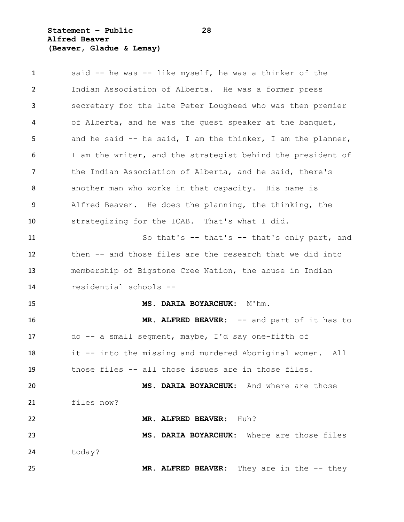# **Statement – Public 28 Alfred Beaver (Beaver, Gladue & Lemay)**

| $\mathbf{1}$ | said -- he was -- like myself, he was a thinker of the       |
|--------------|--------------------------------------------------------------|
| 2            | Indian Association of Alberta. He was a former press         |
| 3            | secretary for the late Peter Lougheed who was then premier   |
| 4            | of Alberta, and he was the guest speaker at the banquet,     |
| 5            | and he said $-$ he said, I am the thinker, I am the planner, |
| 6            | I am the writer, and the strategist behind the president of  |
| 7            | the Indian Association of Alberta, and he said, there's      |
| 8            | another man who works in that capacity. His name is          |
| 9            | Alfred Beaver. He does the planning, the thinking, the       |
| 10           | strategizing for the ICAB. That's what I did.                |
| 11           | So that's $--$ that's $--$ that's only part, and             |
| 12           | then -- and those files are the research that we did into    |
| 13           | membership of Bigstone Cree Nation, the abuse in Indian      |
| 14           | residential schools --                                       |
| 15           | MS. DARIA BOYARCHUK: M'hm.                                   |
| 16           | MR. ALFRED BEAVER: -- and part of it has to                  |
| 17           | do -- a small seqment, maybe, I'd say one-fifth of           |
| 18           | it -- into the missing and murdered Aboriginal women.<br>All |
| 19           | those files -- all those issues are in those files.          |
| 20           | MS. DARIA BOYARCHUK: And where are those                     |
| 21           | files now?                                                   |
| 22           | MR. ALFRED BEAVER: Huh?                                      |
| 23           | MS. DARIA BOYARCHUK: Where are those files                   |
| 24           | today?                                                       |
| 25           | They are in the $--$ they<br>MR. ALFRED BEAVER:              |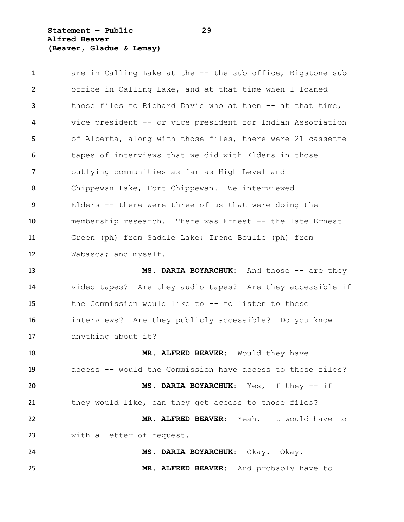**Statement – Public 29 Alfred Beaver (Beaver, Gladue & Lemay)**

| $\mathbf{1}$   | are in Calling Lake at the -- the sub office, Bigstone sub |
|----------------|------------------------------------------------------------|
| $\overline{2}$ | office in Calling Lake, and at that time when I loaned     |
| 3              | those files to Richard Davis who at then -- at that time,  |
| 4              | vice president -- or vice president for Indian Association |
| 5              | of Alberta, along with those files, there were 21 cassette |
| 6              | tapes of interviews that we did with Elders in those       |
| $\overline{7}$ | outlying communities as far as High Level and              |
| 8              | Chippewan Lake, Fort Chippewan. We interviewed             |
| 9              | Elders -- there were three of us that were doing the       |
| 10             | membership research. There was Ernest -- the late Ernest   |
| 11             | Green (ph) from Saddle Lake; Irene Boulie (ph) from        |
| 12             | Wabasca; and myself.                                       |
| 13             | MS. DARIA BOYARCHUK: And those -- are they                 |
| 14             | video tapes? Are they audio tapes? Are they accessible if  |
| 15             | the Commission would like to -- to listen to these         |
| 16             | interviews? Are they publicly accessible? Do you know      |
| 17             | anything about it?                                         |
| 18             | MR. ALFRED BEAVER: Would they have                         |
| 19             | access -- would the Commission have access to those files? |
| 20             | MS. DARIA BOYARCHUK: Yes, if they -- if                    |
| 21             | they would like, can they get access to those files?       |
| 22             | MR. ALFRED BEAVER: Yeah. It would have to                  |
| 23             | with a letter of request.                                  |
| 24             | MS. DARIA BOYARCHUK: Okay. Okay.                           |
| 25             | MR. ALFRED BEAVER: And probably have to                    |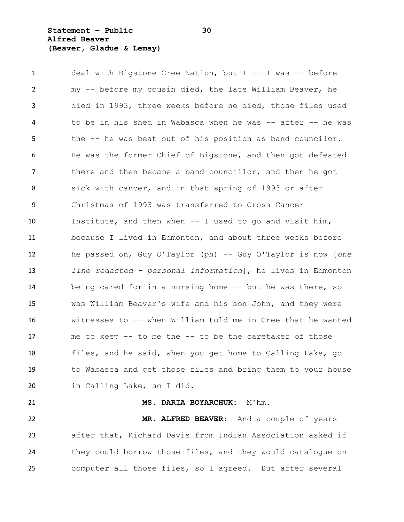**Statement – Public 30 Alfred Beaver (Beaver, Gladue & Lemay)**

 deal with Bigstone Cree Nation, but I -- I was -- before my -- before my cousin died, the late William Beaver, he died in 1993, three weeks before he died, those files used to be in his shed in Wabasca when he was -- after -- he was the -- he was beat out of his position as band councilor. He was the former Chief of Bigstone, and then got defeated there and then became a band councillor, and then he got sick with cancer, and in that spring of 1993 or after Christmas of 1993 was transferred to Cross Cancer Institute, and then when -- I used to go and visit him, because I lived in Edmonton, and about three weeks before he passed on, Guy O'Taylor (ph) -- Guy O'Taylor is now [*one line redacted - personal information*], he lives in Edmonton being cared for in a nursing home -- but he was there, so was William Beaver's wife and his son John, and they were witnesses to -- when William told me in Cree that he wanted me to keep -- to be the -- to be the caretaker of those files, and he said, when you get home to Calling Lake, go to Wabasca and get those files and bring them to your house in Calling Lake, so I did.

 **MS. DARIA BOYARCHUK:** M'hm. **MR. ALFRED BEAVER:** And a couple of years after that, Richard Davis from Indian Association asked if 24 they could borrow those files, and they would catalogue on computer all those files, so I agreed. But after several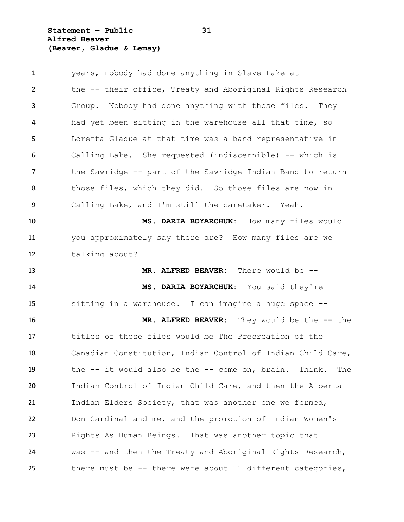**Statement – Public 31 Alfred Beaver (Beaver, Gladue & Lemay)**

 years, nobody had done anything in Slave Lake at the -- their office, Treaty and Aboriginal Rights Research Group. Nobody had done anything with those files. They had yet been sitting in the warehouse all that time, so Loretta Gladue at that time was a band representative in Calling Lake. She requested (indiscernible) -- which is 7 the Sawridge -- part of the Sawridge Indian Band to return 8 those files, which they did. So those files are now in Calling Lake, and I'm still the caretaker. Yeah. **MS. DARIA BOYARCHUK:** How many files would you approximately say there are? How many files are we talking about? **MR. ALFRED BEAVER:** There would be -- **MS. DARIA BOYARCHUK:** You said they're sitting in a warehouse. I can imagine a huge space -- **MR. ALFRED BEAVER:** They would be the -- the titles of those files would be The Precreation of the Canadian Constitution, Indian Control of Indian Child Care, the -- it would also be the -- come on, brain. Think. The Indian Control of Indian Child Care, and then the Alberta Indian Elders Society, that was another one we formed, Don Cardinal and me, and the promotion of Indian Women's Rights As Human Beings. That was another topic that was -- and then the Treaty and Aboriginal Rights Research, there must be -- there were about 11 different categories,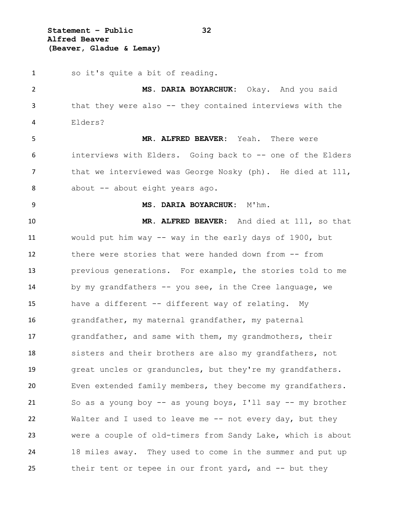**Statement – Public 32 Alfred Beaver (Beaver, Gladue & Lemay)**

 so it's quite a bit of reading. **MS. DARIA BOYARCHUK:** Okay. And you said that they were also -- they contained interviews with the Elders? **MR. ALFRED BEAVER:** Yeah. There were interviews with Elders. Going back to -- one of the Elders 7 that we interviewed was George Nosky (ph). He died at 111, 8 about -- about eight years ago. **MS. DARIA BOYARCHUK:** M'hm. **MR. ALFRED BEAVER:** And died at 111, so that would put him way -- way in the early days of 1900, but there were stories that were handed down from -- from previous generations. For example, the stories told to me 14 by my grandfathers -- you see, in the Cree language, we have a different -- different way of relating. My grandfather, my maternal grandfather, my paternal grandfather, and same with them, my grandmothers, their sisters and their brothers are also my grandfathers, not great uncles or granduncles, but they're my grandfathers. Even extended family members, they become my grandfathers. So as a young boy -- as young boys, I'll say -- my brother 22 Walter and I used to leave me -- not every day, but they were a couple of old-timers from Sandy Lake, which is about 18 miles away. They used to come in the summer and put up their tent or tepee in our front yard, and -- but they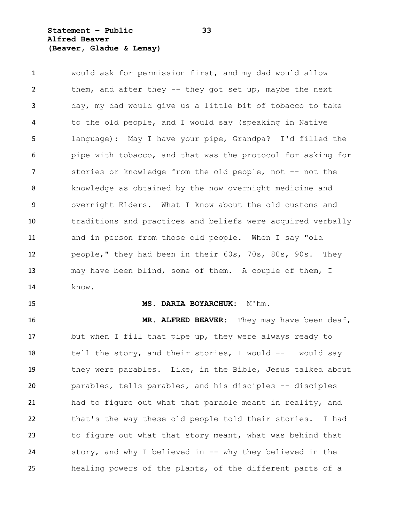**Statement – Public 33 Alfred Beaver (Beaver, Gladue & Lemay)**

 would ask for permission first, and my dad would allow 2 them, and after they -- they got set up, maybe the next day, my dad would give us a little bit of tobacco to take to the old people, and I would say (speaking in Native language): May I have your pipe, Grandpa? I'd filled the pipe with tobacco, and that was the protocol for asking for 7 stories or knowledge from the old people, not -- not the knowledge as obtained by the now overnight medicine and overnight Elders. What I know about the old customs and traditions and practices and beliefs were acquired verbally and in person from those old people. When I say "old people," they had been in their 60s, 70s, 80s, 90s. They may have been blind, some of them. A couple of them, I know.

#### **MS. DARIA BOYARCHUK:** M'hm.

 **MR. ALFRED BEAVER:** They may have been deaf, but when I fill that pipe up, they were always ready to tell the story, and their stories, I would -- I would say they were parables. Like, in the Bible, Jesus talked about parables, tells parables, and his disciples -- disciples had to figure out what that parable meant in reality, and that's the way these old people told their stories. I had to figure out what that story meant, what was behind that story, and why I believed in -- why they believed in the healing powers of the plants, of the different parts of a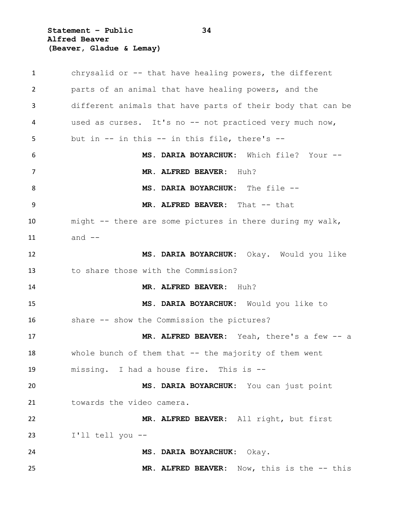**Statement – Public 34 Alfred Beaver (Beaver, Gladue & Lemay)**

 chrysalid or -- that have healing powers, the different parts of an animal that have healing powers, and the different animals that have parts of their body that can be used as curses. It's no -- not practiced very much now, but in -- in this -- in this file, there's -- **MS. DARIA BOYARCHUK:** Which file? Your -- **MR. ALFRED BEAVER:** Huh? **MS. DARIA BOYARCHUK:** The file -- **MR. ALFRED BEAVER:** That -- that might -- there are some pictures in there during my walk, and -- **MS. DARIA BOYARCHUK:** Okay. Would you like to share those with the Commission? **MR. ALFRED BEAVER:** Huh? **MS. DARIA BOYARCHUK:** Would you like to share -- show the Commission the pictures? **MR. ALFRED BEAVER:** Yeah, there's a few -- a 18 whole bunch of them that -- the majority of them went missing. I had a house fire. This is -- **MS. DARIA BOYARCHUK:** You can just point 21 towards the video camera. **MR. ALFRED BEAVER:** All right, but first I'll tell you -- **MS. DARIA BOYARCHUK:** Okay. **MR. ALFRED BEAVER:** Now, this is the -- this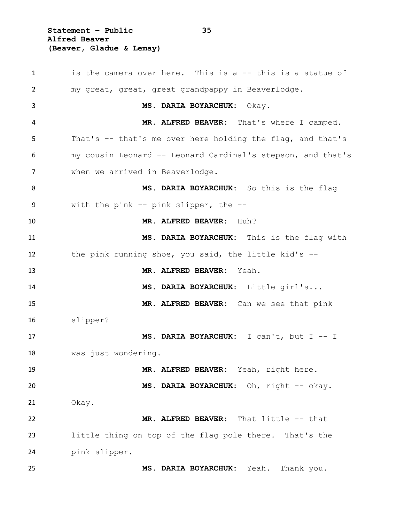**Statement – Public 35 Alfred Beaver (Beaver, Gladue & Lemay)**

1 is the camera over here. This is a -- this is a statue of my great, great, great grandpappy in Beaverlodge. **MS. DARIA BOYARCHUK:** Okay. **MR. ALFRED BEAVER:** That's where I camped. That's -- that's me over here holding the flag, and that's my cousin Leonard -- Leonard Cardinal's stepson, and that's when we arrived in Beaverlodge. **MS. DARIA BOYARCHUK:** So this is the flag with the pink -- pink slipper, the -- **MR. ALFRED BEAVER:** Huh? **MS. DARIA BOYARCHUK:** This is the flag with the pink running shoe, you said, the little kid's -- **MR. ALFRED BEAVER:** Yeah. **MS. DARIA BOYARCHUK:** Little girl's... **MR. ALFRED BEAVER:** Can we see that pink slipper? **MS. DARIA BOYARCHUK:** I can't, but I -- I was just wondering. **MR. ALFRED BEAVER:** Yeah, right here. **MS. DARIA BOYARCHUK:** Oh, right -- okay. Okay. **MR. ALFRED BEAVER:** That little -- that little thing on top of the flag pole there. That's the pink slipper. **MS. DARIA BOYARCHUK:** Yeah. Thank you.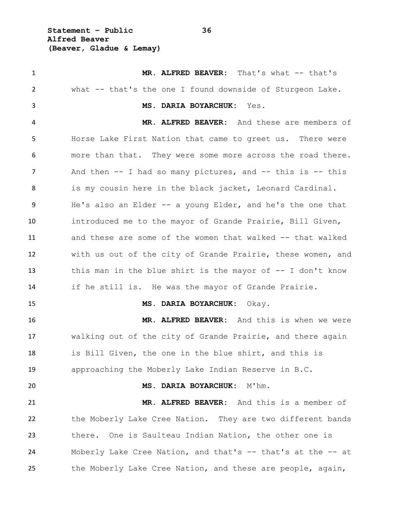**Statement – Public 36 Alfred Beaver (Beaver, Gladue & Lemay)**

1 MR. ALFRED BEAVER: That's what -- that's what -- that's the one I found downside of Sturgeon Lake. **MS. DARIA BOYARCHUK:** Yes. **MR. ALFRED BEAVER:** And these are members of Horse Lake First Nation that came to greet us. There were more than that. They were some more across the road there. 7 And then -- I had so many pictures, and -- this is -- this 8 is my cousin here in the black jacket, Leonard Cardinal. He's also an Elder -- a young Elder, and he's the one that introduced me to the mayor of Grande Prairie, Bill Given, and these are some of the women that walked -- that walked with us out of the city of Grande Prairie, these women, and this man in the blue shirt is the mayor of -- I don't know if he still is. He was the mayor of Grande Prairie. **MS. DARIA BOYARCHUK:** Okay. **MR. ALFRED BEAVER:** And this is when we were walking out of the city of Grande Prairie, and there again is Bill Given, the one in the blue shirt, and this is approaching the Moberly Lake Indian Reserve in B.C. **MS. DARIA BOYARCHUK:** M'hm. **MR. ALFRED BEAVER:** And this is a member of the Moberly Lake Cree Nation. They are two different bands there. One is Saulteau Indian Nation, the other one is Moberly Lake Cree Nation, and that's -- that's at the -- at the Moberly Lake Cree Nation, and these are people, again,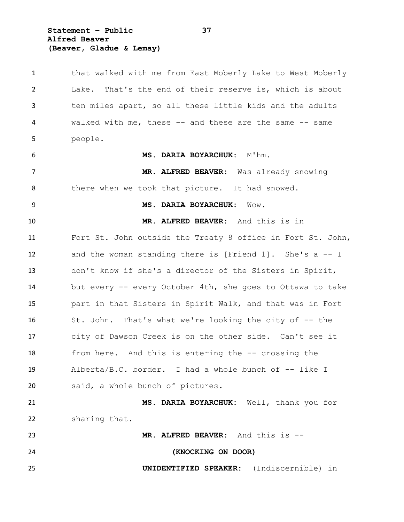**Statement – Public 37 Alfred Beaver (Beaver, Gladue & Lemay)**

 that walked with me from East Moberly Lake to West Moberly Lake. That's the end of their reserve is, which is about ten miles apart, so all these little kids and the adults walked with me, these -- and these are the same -- same people. **MS. DARIA BOYARCHUK:** M'hm. **MR. ALFRED BEAVER:** Was already snowing 8 there when we took that picture. It had snowed. **MS. DARIA BOYARCHUK:** Wow. **MR. ALFRED BEAVER:** And this is in Fort St. John outside the Treaty 8 office in Fort St. John, and the woman standing there is [Friend 1]. She's a -- I don't know if she's a director of the Sisters in Spirit, but every -- every October 4th, she goes to Ottawa to take part in that Sisters in Spirit Walk, and that was in Fort 16 St. John. That's what we're looking the city of -- the city of Dawson Creek is on the other side. Can't see it from here. And this is entering the -- crossing the Alberta/B.C. border. I had a whole bunch of -- like I said, a whole bunch of pictures. **MS. DARIA BOYARCHUK:** Well, thank you for sharing that. **MR. ALFRED BEAVER:** And this is -- **(KNOCKING ON DOOR) UNIDENTIFIED SPEAKER:** (Indiscernible) in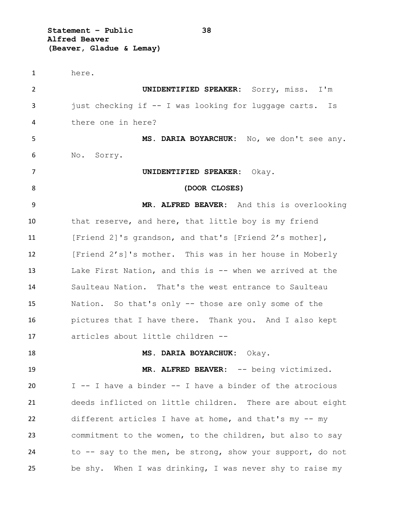**Statement – Public 38 Alfred Beaver (Beaver, Gladue & Lemay)**

 here. **UNIDENTIFIED SPEAKER:** Sorry, miss. I'm 3 just checking if -- I was looking for luggage carts. Is there one in here? **MS. DARIA BOYARCHUK:** No, we don't see any. No. Sorry. **UNIDENTIFIED SPEAKER:** Okay. **(DOOR CLOSES) MR. ALFRED BEAVER:** And this is overlooking that reserve, and here, that little boy is my friend [Friend 2]'s grandson, and that's [Friend 2's mother], [Friend 2's]'s mother. This was in her house in Moberly Lake First Nation, and this is -- when we arrived at the Saulteau Nation. That's the west entrance to Saulteau Nation. So that's only -- those are only some of the pictures that I have there. Thank you. And I also kept articles about little children -- **MS. DARIA BOYARCHUK:** Okay. 19 MR. ALFRED BEAVER: -- being victimized. I -- I have a binder -- I have a binder of the atrocious deeds inflicted on little children. There are about eight different articles I have at home, and that's my -- my commitment to the women, to the children, but also to say to -- say to the men, be strong, show your support, do not be shy. When I was drinking, I was never shy to raise my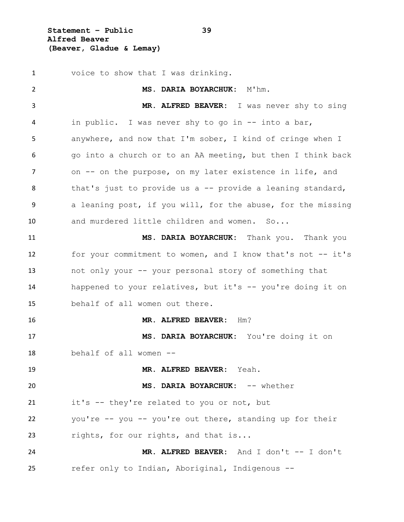**Statement – Public 39 Alfred Beaver (Beaver, Gladue & Lemay)**

 voice to show that I was drinking. **MS. DARIA BOYARCHUK:** M'hm. **MR. ALFRED BEAVER:** I was never shy to sing in public. I was never shy to go in -- into a bar, anywhere, and now that I'm sober, I kind of cringe when I go into a church or to an AA meeting, but then I think back 7 on -- on the purpose, on my later existence in life, and that's just to provide us a -- provide a leaning standard, 9 a leaning post, if you will, for the abuse, for the missing and murdered little children and women. So... **MS. DARIA BOYARCHUK:** Thank you. Thank you for your commitment to women, and I know that's not -- it's not only your -- your personal story of something that happened to your relatives, but it's -- you're doing it on behalf of all women out there. **MR. ALFRED BEAVER:** Hm? **MS. DARIA BOYARCHUK:** You're doing it on behalf of all women -- **MR. ALFRED BEAVER:** Yeah. **MS. DARIA BOYARCHUK:** -- whether it's -- they're related to you or not, but you're -- you -- you're out there, standing up for their rights, for our rights, and that is... **MR. ALFRED BEAVER:** And I don't -- I don't refer only to Indian, Aboriginal, Indigenous --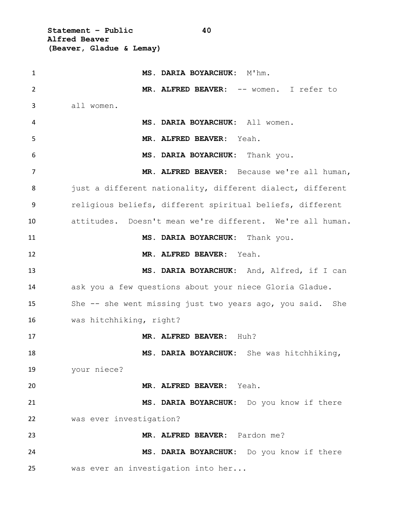**Statement – Public 40 Alfred Beaver (Beaver, Gladue & Lemay)**

 **MS. DARIA BOYARCHUK:** M'hm. **MR. ALFRED BEAVER:** -- women. I refer to all women. **MS. DARIA BOYARCHUK:** All women. **MR. ALFRED BEAVER:** Yeah. **MS. DARIA BOYARCHUK:** Thank you. **MR. ALFRED BEAVER:** Because we're all human, 8 just a different nationality, different dialect, different religious beliefs, different spiritual beliefs, different attitudes. Doesn't mean we're different. We're all human. **MS. DARIA BOYARCHUK:** Thank you. **MR. ALFRED BEAVER:** Yeah. **MS. DARIA BOYARCHUK:** And, Alfred, if I can ask you a few questions about your niece Gloria Gladue. She -- she went missing just two years ago, you said. She was hitchhiking, right? **MR. ALFRED BEAVER:** Huh? **MS. DARIA BOYARCHUK:** She was hitchhiking, your niece? **MR. ALFRED BEAVER:** Yeah. **MS. DARIA BOYARCHUK:** Do you know if there was ever investigation? **MR. ALFRED BEAVER:** Pardon me? **MS. DARIA BOYARCHUK:** Do you know if there was ever an investigation into her...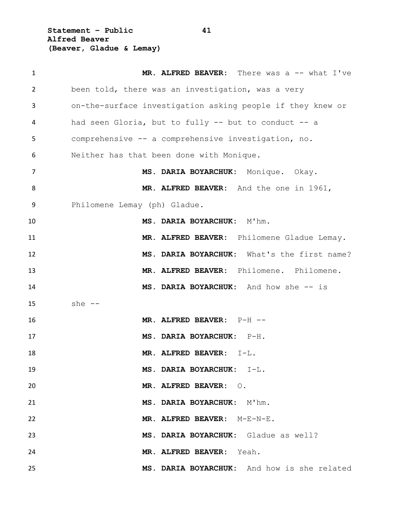**Statement – Public 41 Alfred Beaver (Beaver, Gladue & Lemay)**

| $\mathbf{1}$   | MR. ALFRED BEAVER: There was a -- what I've                |
|----------------|------------------------------------------------------------|
| 2              | been told, there was an investigation, was a very          |
| 3              | on-the-surface investigation asking people if they knew or |
| 4              | had seen Gloria, but to fully -- but to conduct -- a       |
| 5              | comprehensive -- a comprehensive investigation, no.        |
| 6              | Neither has that been done with Monique.                   |
| $\overline{7}$ | MS. DARIA BOYARCHUK: Monique. Okay.                        |
| 8              | MR. ALFRED BEAVER: And the one in 1961,                    |
| 9              | Philomene Lemay (ph) Gladue.                               |
| 10             | MS. DARIA BOYARCHUK: M'hm.                                 |
| 11             | MR. ALFRED BEAVER: Philomene Gladue Lemay.                 |
| 12             | MS. DARIA BOYARCHUK: What's the first name?                |
| 13             | MR. ALFRED BEAVER: Philomene. Philomene.                   |
| 14             | MS. DARIA BOYARCHUK: And how she -- is                     |
| 15             | she $--$                                                   |
| 16             | MR. ALFRED BEAVER: P-H --                                  |
| 17             | MS. DARIA BOYARCHUK: P-H.                                  |
| 18             | MR. ALFRED BEAVER:<br>$I-L$ .                              |
| 19             | MS. DARIA BOYARCHUK: I-L.                                  |
| 20             | MR. ALFRED BEAVER: 0.                                      |
| 21             | MS. DARIA BOYARCHUK: M'hm.                                 |
| 22             | MR. ALFRED BEAVER: M-E-N-E.                                |
| 23             | MS. DARIA BOYARCHUK: Gladue as well?                       |
| 24             | MR. ALFRED BEAVER: Yeah.                                   |
| 25             | MS. DARIA BOYARCHUK: And how is she related                |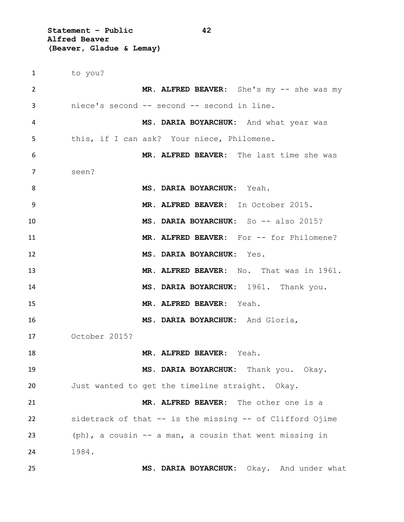**Statement – Public 42 Alfred Beaver (Beaver, Gladue & Lemay)**

 to you? **MR. ALFRED BEAVER:** She's my -- she was my niece's second -- second -- second in line. **MS. DARIA BOYARCHUK:** And what year was this, if I can ask? Your niece, Philomene. **MR. ALFRED BEAVER:** The last time she was seen? **MS. DARIA BOYARCHUK:** Yeah. **MR. ALFRED BEAVER:** In October 2015. **MS. DARIA BOYARCHUK:** So -- also 2015? **MR. ALFRED BEAVER:** For -- for Philomene? **MS. DARIA BOYARCHUK:** Yes. **MR. ALFRED BEAVER:** No. That was in 1961. **MS. DARIA BOYARCHUK:** 1961. Thank you. **MR. ALFRED BEAVER:** Yeah. **MS. DARIA BOYARCHUK:** And Gloria, October 2015? **MR. ALFRED BEAVER:** Yeah. **MS. DARIA BOYARCHUK:** Thank you. Okay. Just wanted to get the timeline straight. Okay. **MR. ALFRED BEAVER:** The other one is a sidetrack of that -- is the missing -- of Clifford Ojime (ph), a cousin -- a man, a cousin that went missing in 1984. **MS. DARIA BOYARCHUK:** Okay. And under what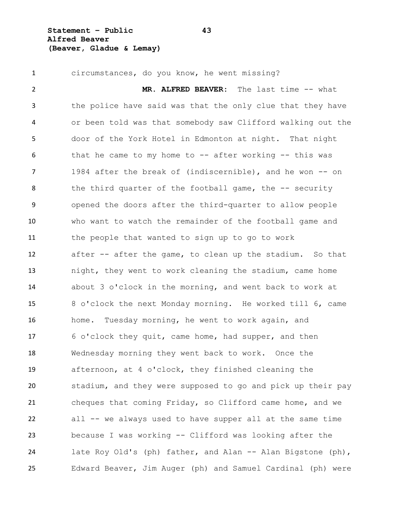**Statement – Public 43 Alfred Beaver (Beaver, Gladue & Lemay)**

 circumstances, do you know, he went missing? **MR. ALFRED BEAVER:** The last time -- what the police have said was that the only clue that they have or been told was that somebody saw Clifford walking out the door of the York Hotel in Edmonton at night. That night that he came to my home to -- after working -- this was 1984 after the break of (indiscernible), and he won -- on 8 the third quarter of the football game, the -- security opened the doors after the third-quarter to allow people who want to watch the remainder of the football game and the people that wanted to sign up to go to work after -- after the game, to clean up the stadium. So that night, they went to work cleaning the stadium, came home about 3 o'clock in the morning, and went back to work at 8 o'clock the next Monday morning. He worked till 6, came home. Tuesday morning, he went to work again, and 6 o'clock they quit, came home, had supper, and then Wednesday morning they went back to work. Once the afternoon, at 4 o'clock, they finished cleaning the stadium, and they were supposed to go and pick up their pay cheques that coming Friday, so Clifford came home, and we all -- we always used to have supper all at the same time because I was working -- Clifford was looking after the 24 late Roy Old's (ph) father, and Alan -- Alan Bigstone (ph), Edward Beaver, Jim Auger (ph) and Samuel Cardinal (ph) were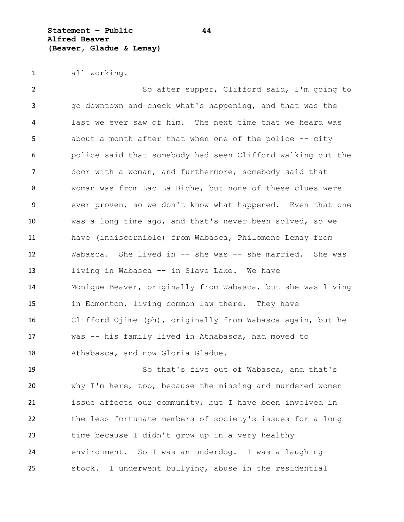**Statement – Public 44 Alfred Beaver (Beaver, Gladue & Lemay)**

all working.

 So after supper, Clifford said, I'm going to go downtown and check what's happening, and that was the last we ever saw of him. The next time that we heard was 5 about a month after that when one of the police -- city police said that somebody had seen Clifford walking out the door with a woman, and furthermore, somebody said that woman was from Lac La Biche, but none of these clues were ever proven, so we don't know what happened. Even that one was a long time ago, and that's never been solved, so we have (indiscernible) from Wabasca, Philomene Lemay from Wabasca. She lived in -- she was -- she married. She was living in Wabasca -- in Slave Lake. We have Monique Beaver, originally from Wabasca, but she was living in Edmonton, living common law there. They have Clifford Ojime (ph), originally from Wabasca again, but he was -- his family lived in Athabasca, had moved to Athabasca, and now Gloria Gladue.

 So that's five out of Wabasca, and that's why I'm here, too, because the missing and murdered women issue affects our community, but I have been involved in the less fortunate members of society's issues for a long time because I didn't grow up in a very healthy environment. So I was an underdog. I was a laughing stock. I underwent bullying, abuse in the residential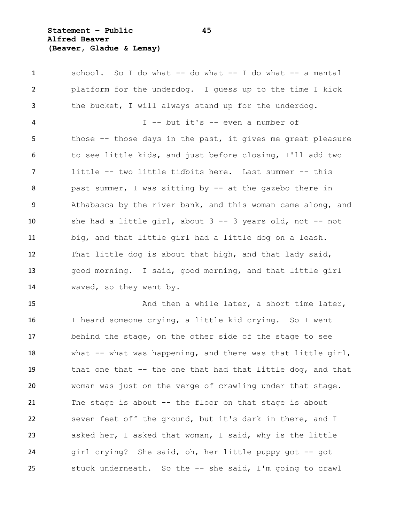**Statement – Public 45 Alfred Beaver (Beaver, Gladue & Lemay)**

 school. So I do what -- do what -- I do what -- a mental platform for the underdog. I guess up to the time I kick the bucket, I will always stand up for the underdog. I -- but it's -- even a number of those -- those days in the past, it gives me great pleasure to see little kids, and just before closing, I'll add two little -- two little tidbits here. Last summer -- this past summer, I was sitting by -- at the gazebo there in Athabasca by the river bank, and this woman came along, and she had a little girl, about 3 -- 3 years old, not -- not big, and that little girl had a little dog on a leash. That little dog is about that high, and that lady said, good morning. I said, good morning, and that little girl waved, so they went by.

15 And then a while later, a short time later, I heard someone crying, a little kid crying. So I went behind the stage, on the other side of the stage to see what -- what was happening, and there was that little girl, that one that -- the one that had that little dog, and that woman was just on the verge of crawling under that stage. The stage is about -- the floor on that stage is about seven feet off the ground, but it's dark in there, and I asked her, I asked that woman, I said, why is the little 24 girl crying? She said, oh, her little puppy got -- got stuck underneath. So the -- she said, I'm going to crawl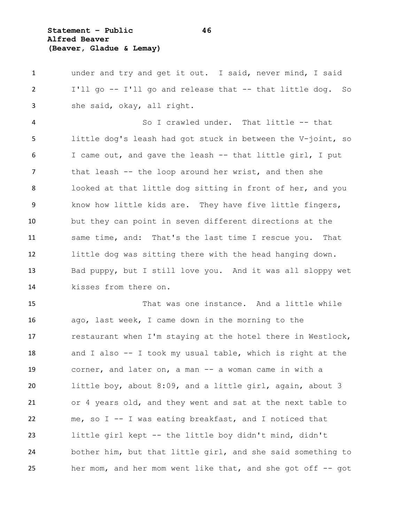**Statement – Public 46 Alfred Beaver (Beaver, Gladue & Lemay)**

 under and try and get it out. I said, never mind, I said I'll go -- I'll go and release that -- that little dog. So she said, okay, all right. So I crawled under. That little -- that little dog's leash had got stuck in between the V-joint, so I came out, and gave the leash -- that little girl, I put that leash -- the loop around her wrist, and then she looked at that little dog sitting in front of her, and you know how little kids are. They have five little fingers, but they can point in seven different directions at the same time, and: That's the last time I rescue you. That little dog was sitting there with the head hanging down. Bad puppy, but I still love you. And it was all sloppy wet kisses from there on.

 That was one instance. And a little while ago, last week, I came down in the morning to the restaurant when I'm staying at the hotel there in Westlock, and I also -- I took my usual table, which is right at the corner, and later on, a man -- a woman came in with a little boy, about 8:09, and a little girl, again, about 3 or 4 years old, and they went and sat at the next table to me, so I -- I was eating breakfast, and I noticed that little girl kept -- the little boy didn't mind, didn't bother him, but that little girl, and she said something to her mom, and her mom went like that, and she got off -- got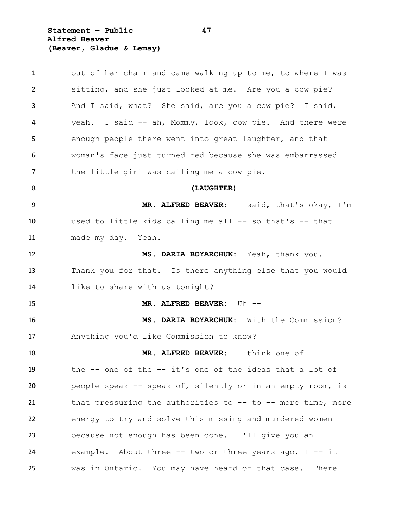**Statement – Public 47 Alfred Beaver (Beaver, Gladue & Lemay)**

| $\mathbf{1}$ | out of her chair and came walking up to me, to where I was      |
|--------------|-----------------------------------------------------------------|
| 2            | sitting, and she just looked at me. Are you a cow pie?          |
| 3            | And I said, what? She said, are you a cow pie? I said,          |
| 4            | yeah. I said -- ah, Mommy, look, cow pie. And there were        |
| 5            | enough people there went into great laughter, and that          |
| 6            | woman's face just turned red because she was embarrassed        |
| 7            | the little girl was calling me a cow pie.                       |
| 8            | (LAUGHTER)                                                      |
| 9            | MR. ALFRED BEAVER: I said, that's okay, I'm                     |
| 10           | used to little kids calling me all -- so that's -- that         |
| 11           | made my day. Yeah.                                              |
| 12           | MS. DARIA BOYARCHUK: Yeah, thank you.                           |
| 13           | Thank you for that. Is there anything else that you would       |
| 14           | like to share with us tonight?                                  |
| 15           | MR. ALFRED BEAVER: Uh --                                        |
| 16           | MS. DARIA BOYARCHUK: With the Commission?                       |
| 17           | Anything you'd like Commission to know?                         |
| 18           | MR. ALFRED BEAVER: I think one of                               |
| 19           | the -- one of the -- it's one of the ideas that a lot of        |
| 20           | people speak -- speak of, silently or in an empty room, is      |
| 21           | that pressuring the authorities to $--$ to $--$ more time, more |
| 22           | energy to try and solve this missing and murdered women         |
| 23           | because not enough has been done. I'll give you an              |
| 24           | example. About three $-$ two or three years ago, I $-$ it       |
| 25           | was in Ontario. You may have heard of that case.<br>There       |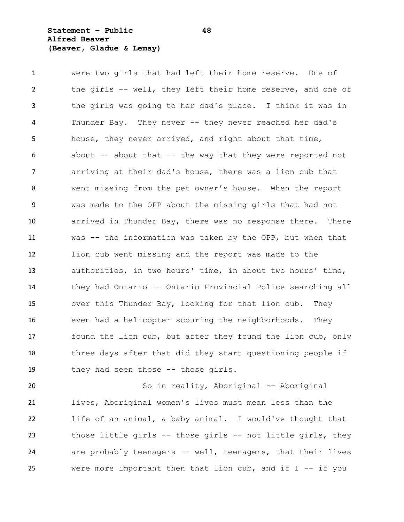**Statement – Public 48 Alfred Beaver (Beaver, Gladue & Lemay)**

 were two girls that had left their home reserve. One of the girls -- well, they left their home reserve, and one of the girls was going to her dad's place. I think it was in Thunder Bay. They never -- they never reached her dad's house, they never arrived, and right about that time, about -- about that -- the way that they were reported not arriving at their dad's house, there was a lion cub that went missing from the pet owner's house. When the report was made to the OPP about the missing girls that had not arrived in Thunder Bay, there was no response there. There was -- the information was taken by the OPP, but when that lion cub went missing and the report was made to the authorities, in two hours' time, in about two hours' time, they had Ontario -- Ontario Provincial Police searching all over this Thunder Bay, looking for that lion cub. They even had a helicopter scouring the neighborhoods. They found the lion cub, but after they found the lion cub, only three days after that did they start questioning people if 19 they had seen those -- those girls.

20 So in reality, Aboriginal -- Aboriginal lives, Aboriginal women's lives must mean less than the life of an animal, a baby animal. I would've thought that those little girls -- those girls -- not little girls, they are probably teenagers -- well, teenagers, that their lives were more important then that lion cub, and if I -- if you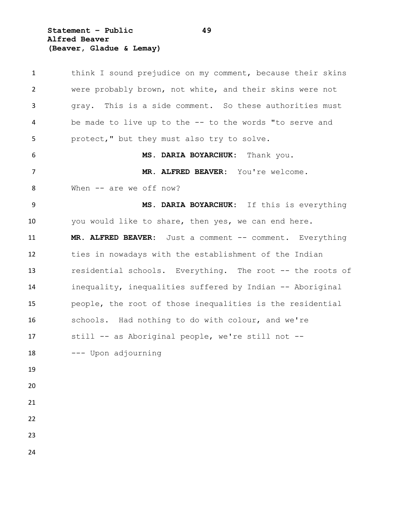**Statement – Public 49 Alfred Beaver (Beaver, Gladue & Lemay)**

 think I sound prejudice on my comment, because their skins were probably brown, not white, and their skins were not gray. This is a side comment. So these authorities must be made to live up to the -- to the words "to serve and protect," but they must also try to solve. **MS. DARIA BOYARCHUK:** Thank you. **MR. ALFRED BEAVER:** You're welcome. 8 When -- are we off now? **MS. DARIA BOYARCHUK:** If this is everything you would like to share, then yes, we can end here. **MR. ALFRED BEAVER:** Just a comment -- comment. Everything ties in nowadays with the establishment of the Indian residential schools. Everything. The root -- the roots of inequality, inequalities suffered by Indian -- Aboriginal people, the root of those inequalities is the residential schools. Had nothing to do with colour, and we're still -- as Aboriginal people, we're still not -- --- Upon adjourning